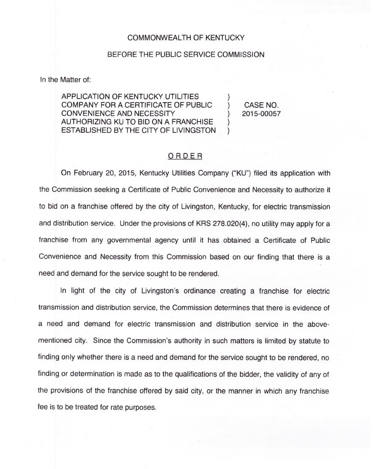## COMMONWEALTH OF KENTUCKY

## BEFORE THE PUBLIC SERVICE COMMISSION

In the Matter of:

APPLICATION OF KENTUCKY UTILITIES COMPANY FOR A CERTIFICATE OF PUBLIC CONVENIENCE AND NECESSITY AUTHORIZING KU TO BID ON A FRANCHISE ESTABLISHED BY THE CITY OF LIVINGSTON

) CASE NO. ) 2015-00057

)

) )

## ORDER

On February 20, 2015, Kentucky Utilities Company ("KU") filed its application with the Commission seeking a Certificate of Public Convenience and Necessity to authorize it to bid on a franchise offered by the city of Livingston, Kentucky, for electric transmission and distribution service. Under the provisions of KRS 278.020(4), no utility may apply for a franchise from any governmental agency until it has obtained a Certificate of Public Convenience and Necessity from this Commission based on our finding that there is a need and demand for the service sought to be rendered.

In light of the city of Livingston's ordinance creating a franchise for electric transmission and distribution service, the Commission determines that there is evidence of a need and demand for electric transmission and distribution service in the abovementioned city. Since the Commission's authority in such matters is limited by statute to finding only whether there is a need and demand for the service sought to be rendered, no finding or determination is made as to the qualifications of the bidder, the validity of any of the provisions of the franchise offered by said city, or the manner in which any franchise fee is to be treated for rate purposes.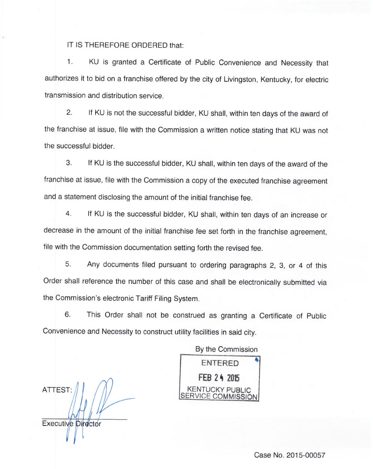IT IS THEREFORE ORDERED that:

1. KU is granted a Certificate of Public Convenience and Necessity tha authorizes it to bid on a franchise offered by the city of Livingston, Kentucky, for electric transmission and distribution service

2. If KU is not the successful bidder, KU shall, within ten days of the award of the franchise at issue, file with the Commission a written notice stating that KU was not the successful bidder.

3. If KU is the successful bidder, KU shall, within ten days of the award of the franchise at issue, file with the Commission a copy of the executed franchise agreement and a statement disclosing the amount of the initial franchise fee.

4. If KU is the successful bidder, KU shall, within ten days of an increase or decrease in the amount of the initial franchise fee set forth in the franchise agreement, file with the Commission documentation setting forth the revised fee.

5. Any documents filed pursuant to ordering paragraphs 2, 3, or 4 of this Order shall reference the number of this case and shall be electronically submitted via the Commission's electronic Tariff Filing System

6. This Order shall not be construed as granting a Certificate of Public Convenience and Necessity to construct utility facilities in said city.

ATTEST: Executive Director

By the Commission ENTERED FEB 24 2015 KENTUCKY PUBLIC RVICE COMMISSION

Case No. 2015-00057